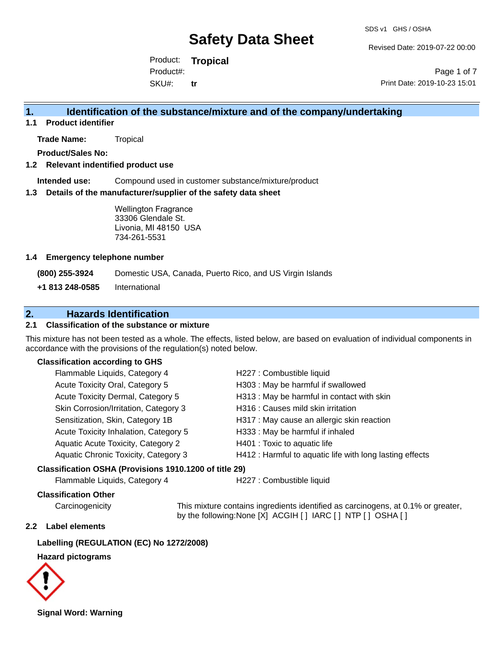Revised Date: 2019-07-22 00:00

Product: **Tropical** SKU#: Product#: **tr**

Page 1 of 7 Print Date: 2019-10-23 15:01

## **1. Identification of the substance/mixture and of the company/undertaking**

**1.1 Product identifier**

**Trade Name:** Tropical

**Product/Sales No:**

#### **1.2 Relevant indentified product use**

**Intended use:** Compound used in customer substance/mixture/product

#### **1.3 Details of the manufacturer/supplier of the safety data sheet**

Wellington Fragrance 33306 Glendale St. Livonia, MI 48150 USA 734-261-5531

#### **1.4 Emergency telephone number**

**(800) 255-3924** Domestic USA, Canada, Puerto Rico, and US Virgin Islands

**+1 813 248-0585** International

## **2. Hazards Identification**

## **2.1 Classification of the substance or mixture**

This mixture has not been tested as a whole. The effects, listed below, are based on evaluation of individual components in accordance with the provisions of the regulation(s) noted below.

#### **Classification according to GHS**

| Flammable Liquids, Category 4         | H227 : Combustible liquid                                |
|---------------------------------------|----------------------------------------------------------|
| Acute Toxicity Oral, Category 5       | H303 : May be harmful if swallowed                       |
| Acute Toxicity Dermal, Category 5     | H313 : May be harmful in contact with skin               |
| Skin Corrosion/Irritation, Category 3 | H316 : Causes mild skin irritation                       |
| Sensitization, Skin, Category 1B      | H317 : May cause an allergic skin reaction               |
| Acute Toxicity Inhalation, Category 5 | H333: May be harmful if inhaled                          |
| Aquatic Acute Toxicity, Category 2    | H401 : Toxic to aquatic life                             |
| Aquatic Chronic Toxicity, Category 3  | H412 : Harmful to aquatic life with long lasting effects |
|                                       |                                                          |

#### **Classification OSHA (Provisions 1910.1200 of title 29)**

Flammable Liquids, Category 4 H227 : Combustible liquid

### **Classification Other**

Carcinogenicity This mixture contains ingredients identified as carcinogens, at 0.1% or greater, by the following:None [X] ACGIH [ ] IARC [ ] NTP [ ] OSHA [ ]

#### **2.2 Label elements**

### **Labelling (REGULATION (EC) No 1272/2008)**

#### **Hazard pictograms**



**Signal Word: Warning**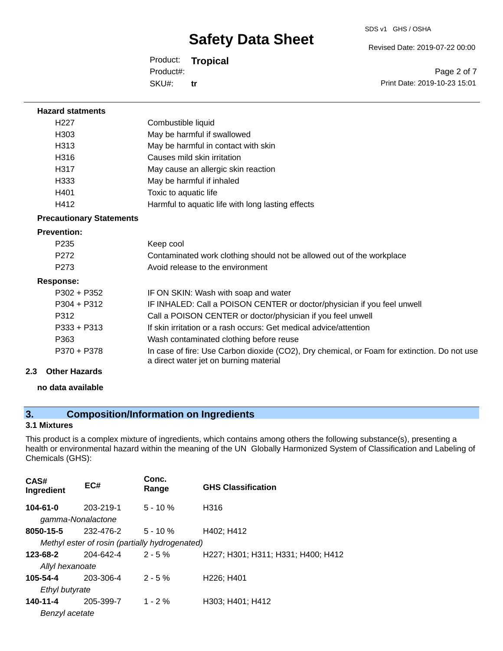SDS v1 GHS / OSHA

Revised Date: 2019-07-22 00:00

Product: **Tropical** SKU#: Product#: **tr**

Page 2 of 7 Print Date: 2019-10-23 15:01

#### **Hazard statments**

| H <sub>22</sub> 7 | Combustible liquid                                |
|-------------------|---------------------------------------------------|
| H <sub>303</sub>  | May be harmful if swallowed                       |
| H313              | May be harmful in contact with skin               |
| H316              | Causes mild skin irritation                       |
| H317              | May cause an allergic skin reaction               |
| H333              | May be harmful if inhaled                         |
| H401              | Toxic to aquatic life                             |
| H412              | Harmful to aquatic life with long lasting effects |

## **Precautionary Statements**

#### **Prevention:**

| P <sub>235</sub> | Keep cool                                                                                                                             |
|------------------|---------------------------------------------------------------------------------------------------------------------------------------|
| P272             | Contaminated work clothing should not be allowed out of the workplace                                                                 |
| P <sub>273</sub> | Avoid release to the environment                                                                                                      |
| Response:        |                                                                                                                                       |
| P302 + P352      | IF ON SKIN: Wash with soap and water                                                                                                  |
| $P304 + P312$    | IF INHALED: Call a POISON CENTER or doctor/physician if you feel unwell                                                               |
| P312             | Call a POISON CENTER or doctor/physician if you feel unwell                                                                           |
| $P333 + P313$    | If skin irritation or a rash occurs: Get medical advice/attention                                                                     |
| P363             | Wash contaminated clothing before reuse                                                                                               |
| P370 + P378      | In case of fire: Use Carbon dioxide (CO2), Dry chemical, or Foam for extinction. Do not use<br>a direct water jet on burning material |

### **2.3 Other Hazards**

**no data available**

## **3. Composition/Information on Ingredients**

## **3.1 Mixtures**

This product is a complex mixture of ingredients, which contains among others the following substance(s), presenting a health or environmental hazard within the meaning of the UN Globally Harmonized System of Classification and Labeling of Chemicals (GHS):

| CAS#<br>Ingredient | EC#                                            | Conc.<br>Range | <b>GHS Classification</b>           |
|--------------------|------------------------------------------------|----------------|-------------------------------------|
| $104 - 61 - 0$     | 203-219-1                                      | $5 - 10%$      | H316                                |
| gamma-Nonalactone  |                                                |                |                                     |
| 8050-15-5          | 232-476-2                                      | $5 - 10 \%$    | H402; H412                          |
|                    | Methyl ester of rosin (partially hydrogenated) |                |                                     |
| 123-68-2           | 204-642-4                                      | $2 - 5%$       | H227; H301; H311; H331; H400; H412  |
| Allyl hexanoate    |                                                |                |                                     |
| 105-54-4           | 203-306-4                                      | $2 - 5 \%$     | H <sub>226</sub> : H <sub>401</sub> |
| Ethyl butyrate     |                                                |                |                                     |
| 140-11-4           | 205-399-7                                      | $1 - 2%$       | H303; H401; H412                    |
| Benzyl acetate     |                                                |                |                                     |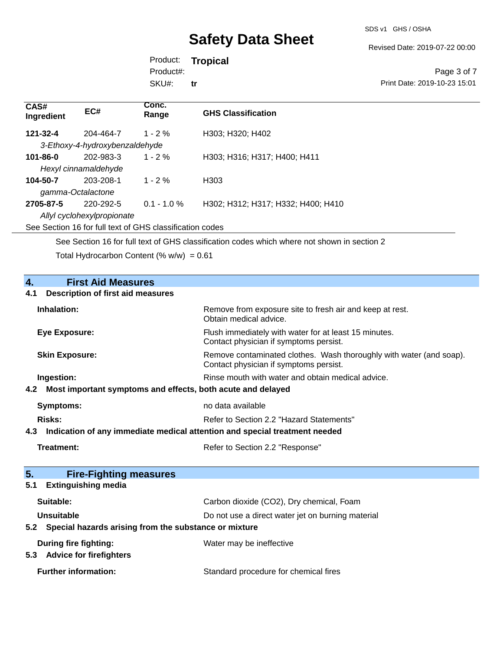Revised Date: 2019-07-22 00:00

Product: **Tropical** SKU#: Product#: **tr**

**Conc.** 

|                           | Page 3 of 7                  |
|---------------------------|------------------------------|
|                           | Print Date: 2019-10-23 15:01 |
|                           |                              |
| <b>GHS Classification</b> |                              |

| しハコサ<br>Ingredient | EC#                            | -----<br>Range | <b>GHS Classification</b>          |
|--------------------|--------------------------------|----------------|------------------------------------|
| 121-32-4           | 204-464-7                      | $1 - 2\%$      | H303; H320; H402                   |
|                    | 3-Ethoxy-4-hydroxybenzaldehyde |                |                                    |
| $101 - 86 - 0$     | 202-983-3                      | $1 - 2\%$      | H303; H316; H317; H400; H411       |
|                    | Hexyl cinnamaldehyde           |                |                                    |
| 104-50-7           | 203-208-1                      | $1 - 2\%$      | H303                               |
| gamma-Octalactone  |                                |                |                                    |
| 2705-87-5          | 220-292-5                      | $0.1 - 1.0 \%$ | H302; H312; H317; H332; H400; H410 |
|                    | Allyl cyclohexylpropionate     |                |                                    |
|                    |                                |                |                                    |

See Section 16 for full text of GHS classification codes

**CAS#**

See Section 16 for full text of GHS classification codes which where not shown in section 2

Total Hydrocarbon Content  $(\% w/w) = 0.61$ 

| $\overline{4}$ .<br><b>First Aid Measures</b>                                     |                                                                                                               |  |
|-----------------------------------------------------------------------------------|---------------------------------------------------------------------------------------------------------------|--|
| <b>Description of first aid measures</b><br>4.1                                   |                                                                                                               |  |
| Inhalation:                                                                       | Remove from exposure site to fresh air and keep at rest.<br>Obtain medical advice.                            |  |
| <b>Eye Exposure:</b>                                                              | Flush immediately with water for at least 15 minutes.<br>Contact physician if symptoms persist.               |  |
| <b>Skin Exposure:</b>                                                             | Remove contaminated clothes. Wash thoroughly with water (and soap).<br>Contact physician if symptoms persist. |  |
| Ingestion:                                                                        | Rinse mouth with water and obtain medical advice.                                                             |  |
| Most important symptoms and effects, both acute and delayed<br>4.2                |                                                                                                               |  |
| <b>Symptoms:</b>                                                                  | no data available                                                                                             |  |
| Risks:                                                                            | Refer to Section 2.2 "Hazard Statements"                                                                      |  |
| Indication of any immediate medical attention and special treatment needed<br>4.3 |                                                                                                               |  |
| Treatment:                                                                        | Refer to Section 2.2 "Response"                                                                               |  |
|                                                                                   |                                                                                                               |  |
| 5.<br><b>Fire-Fighting measures</b>                                               |                                                                                                               |  |
| <b>Extinguishing media</b><br>5.1                                                 |                                                                                                               |  |
| Suitable:                                                                         | Carbon dioxide (CO2), Dry chemical, Foam                                                                      |  |
| Unsuitable                                                                        | Do not use a direct water jet on burning material                                                             |  |
| Special hazards arising from the substance or mixture<br>5.2                      |                                                                                                               |  |
| During fire fighting:<br><b>Advice for firefighters</b><br>5.3                    | Water may be ineffective                                                                                      |  |
| <b>Further information:</b>                                                       | Standard procedure for chemical fires                                                                         |  |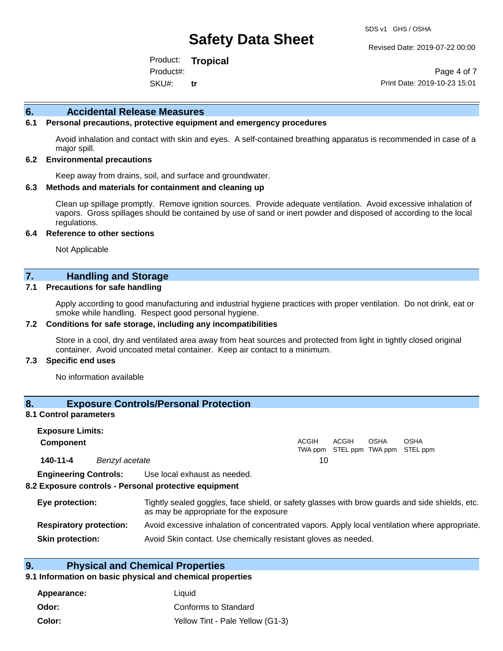Revised Date: 2019-07-22 00:00

Product: **Tropical** SKU#: Product#: **tr**

Page 4 of 7 Print Date: 2019-10-23 15:01

#### **6. Accidental Release Measures**

#### **6.1 Personal precautions, protective equipment and emergency procedures**

Avoid inhalation and contact with skin and eyes. A self-contained breathing apparatus is recommended in case of a major spill.

#### **6.2 Environmental precautions**

Keep away from drains, soil, and surface and groundwater.

#### **6.3 Methods and materials for containment and cleaning up**

Clean up spillage promptly. Remove ignition sources. Provide adequate ventilation. Avoid excessive inhalation of vapors. Gross spillages should be contained by use of sand or inert powder and disposed of according to the local regulations.

#### **6.4 Reference to other sections**

Not Applicable

## **7. Handling and Storage**

#### **7.1 Precautions for safe handling**

Apply according to good manufacturing and industrial hygiene practices with proper ventilation. Do not drink, eat or smoke while handling. Respect good personal hygiene.

#### **7.2 Conditions for safe storage, including any incompatibilities**

Store in a cool, dry and ventilated area away from heat sources and protected from light in tightly closed original container. Avoid uncoated metal container. Keep air contact to a minimum.

#### **7.3 Specific end uses**

No information available

## **8. Exposure Controls/Personal Protection**

#### **8.1 Control parameters**

| <b>Exposure Limits:</b><br><b>Component</b> |                |                                                                                                                                          | <b>ACGIH</b> | ACGIH | OSHA | <b>OSHA</b>               |
|---------------------------------------------|----------------|------------------------------------------------------------------------------------------------------------------------------------------|--------------|-------|------|---------------------------|
|                                             |                |                                                                                                                                          | TWA ppm      |       |      | STEL ppm TWA ppm STEL ppm |
| 140-11-4                                    | Benzyl acetate |                                                                                                                                          | 10           |       |      |                           |
| <b>Engineering Controls:</b>                |                | Use local exhaust as needed.                                                                                                             |              |       |      |                           |
|                                             |                | 8.2 Exposure controls - Personal protective equipment                                                                                    |              |       |      |                           |
| Eye protection:                             |                | Tightly sealed goggles, face shield, or safety glasses with brow guards and side shields, etc.<br>as may be appropriate for the exposure |              |       |      |                           |
| <b>Respiratory protection:</b>              |                | Avoid excessive inhalation of concentrated vapors. Apply local ventilation where appropriate.                                            |              |       |      |                           |

**Skin protection:** Avoid Skin contact. Use chemically resistant gloves as needed.

## **9. Physical and Chemical Properties**

#### **9.1 Information on basic physical and chemical properties**

| Appearance: | Liauid                           |
|-------------|----------------------------------|
| Odor:       | Conforms to Standard             |
| Color:      | Yellow Tint - Pale Yellow (G1-3) |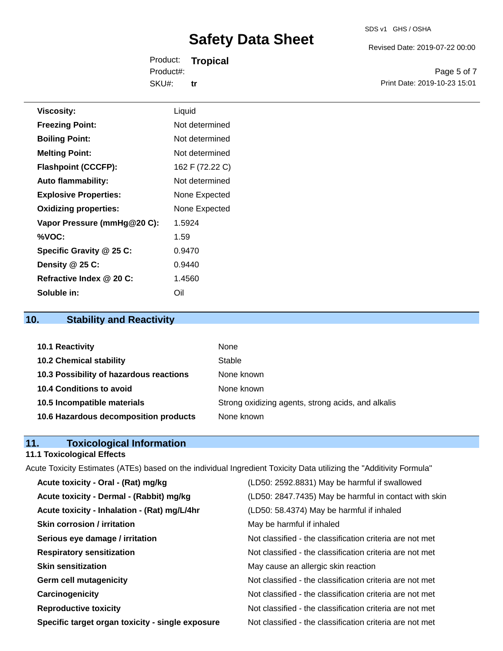Revised Date: 2019-07-22 00:00

Product: **Tropical** SKU#: Product#: **tr**

Page 5 of 7 Print Date: 2019-10-23 15:01

| <b>Viscosity:</b>            | Liquid          |
|------------------------------|-----------------|
| <b>Freezing Point:</b>       | Not determined  |
| <b>Boiling Point:</b>        | Not determined  |
| <b>Melting Point:</b>        | Not determined  |
| <b>Flashpoint (CCCFP):</b>   | 162 F (72.22 C) |
| <b>Auto flammability:</b>    | Not determined  |
| <b>Explosive Properties:</b> | None Expected   |
| <b>Oxidizing properties:</b> | None Expected   |
| Vapor Pressure (mmHg@20 C):  | 1.5924          |
| %VOC:                        | 1.59            |
| Specific Gravity @ 25 C:     | 0.9470          |
| Density @ 25 C:              | 0.9440          |
| Refractive Index @ 20 C:     | 1.4560          |

## **10. Stability and Reactivity**

**Soluble in:** Oil

| 10.1 Reactivity                         | None                                               |
|-----------------------------------------|----------------------------------------------------|
| <b>10.2 Chemical stability</b>          | Stable                                             |
| 10.3 Possibility of hazardous reactions | None known                                         |
| 10.4 Conditions to avoid                | None known                                         |
| 10.5 Incompatible materials             | Strong oxidizing agents, strong acids, and alkalis |
| 10.6 Hazardous decomposition products   | None known                                         |

## **11. Toxicological Information**

#### **11.1 Toxicological Effects**

Acute Toxicity Estimates (ATEs) based on the individual Ingredient Toxicity Data utilizing the "Additivity Formula" **Acute toxicity - Oral - (Rat) mg/kg** (LD50: 2592.8831) May be harmful if swallowed **Acute toxicity - Dermal - (Rabbit) mg/kg** (LD50: 2847.7435) May be harmful in contact with skin **Acute toxicity - Inhalation - (Rat) mg/L/4hr** (LD50: 58.4374) May be harmful if inhaled **Skin corrosion / irritation** May be harmful if inhaled **Serious eye damage / irritation** Not classified - the classification criteria are not met **Respiratory sensitization** Not classified - the classification criteria are not met **Skin sensitization** May cause an allergic skin reaction **Germ cell mutagenicity**  $\qquad \qquad \qquad$  Not classified - the classification criteria are not met

**Carcinogenicity Carcinogenicity Not classified - the classification criteria are not met** 

**Reproductive toxicity** Not classified - the classification criteria are not met

**Specific target organ toxicity - single exposure** Not classified - the classification criteria are not met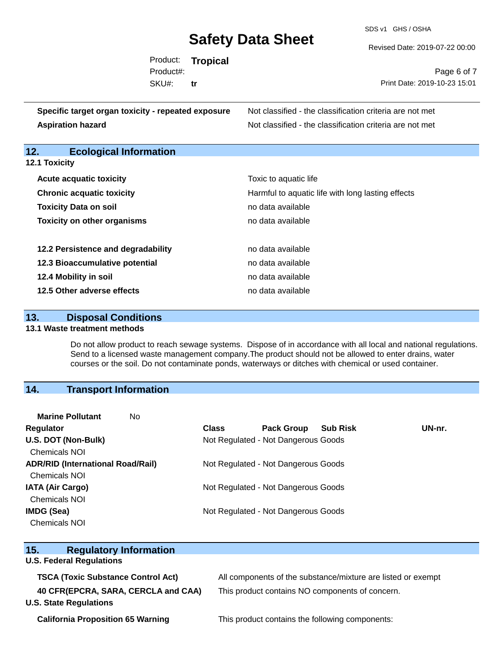SDS v1 GHS / OSHA

Revised Date: 2019-07-22 00:00

|           | Product: Tropical |                              |
|-----------|-------------------|------------------------------|
| Product#: |                   | Page 6 of 7                  |
| SKU#:     | tr                | Print Date: 2019-10-23 15:01 |
|           |                   |                              |

| Specific target organ toxicity - repeated exposure | Not classified - the classification criteria are not met |
|----------------------------------------------------|----------------------------------------------------------|
| <b>Aspiration hazard</b>                           | Not classified - the classification criteria are not met |

## **12. Ecological Information**

| <b>12.1 Toxicity</b> |  |  |
|----------------------|--|--|
|----------------------|--|--|

| <b>Acute acquatic toxicity</b>     | Toxic to aquatic life                             |
|------------------------------------|---------------------------------------------------|
| <b>Chronic acquatic toxicity</b>   | Harmful to aquatic life with long lasting effects |
| <b>Toxicity Data on soil</b>       | no data available                                 |
| <b>Toxicity on other organisms</b> | no data available                                 |
|                                    |                                                   |
| 12.2 Persistence and degradability | no data available                                 |
| 12.3 Bioaccumulative potential     | no data available                                 |
| 12.4 Mobility in soil              | no data available                                 |
| 12.5 Other adverse effects         | no data available                                 |

## **13. Disposal Conditions**

#### **13.1 Waste treatment methods**

Do not allow product to reach sewage systems. Dispose of in accordance with all local and national regulations. Send to a licensed waste management company.The product should not be allowed to enter drains, water courses or the soil. Do not contaminate ponds, waterways or ditches with chemical or used container.

## **14. Transport Information**

| <b>Marine Pollutant</b><br>No            |              |                                      |        |
|------------------------------------------|--------------|--------------------------------------|--------|
| <b>Regulator</b>                         | <b>Class</b> | <b>Pack Group</b><br><b>Sub Risk</b> | UN-nr. |
| U.S. DOT (Non-Bulk)                      |              | Not Regulated - Not Dangerous Goods  |        |
| <b>Chemicals NOI</b>                     |              |                                      |        |
| <b>ADR/RID (International Road/Rail)</b> |              | Not Regulated - Not Dangerous Goods  |        |
| <b>Chemicals NOI</b>                     |              |                                      |        |
| <b>IATA (Air Cargo)</b>                  |              | Not Regulated - Not Dangerous Goods  |        |
| <b>Chemicals NOI</b>                     |              |                                      |        |
| IMDG (Sea)                               |              | Not Regulated - Not Dangerous Goods  |        |
| <b>Chemicals NOI</b>                     |              |                                      |        |
|                                          |              |                                      |        |

| 15.<br><b>Regulatory Information</b>                                 |                                                              |  |  |
|----------------------------------------------------------------------|--------------------------------------------------------------|--|--|
| <b>U.S. Federal Regulations</b>                                      |                                                              |  |  |
| <b>TSCA (Toxic Substance Control Act)</b>                            | All components of the substance/mixture are listed or exempt |  |  |
| 40 CFR(EPCRA, SARA, CERCLA and CAA)<br><b>U.S. State Regulations</b> | This product contains NO components of concern.              |  |  |
| <b>California Proposition 65 Warning</b>                             | This product contains the following components:              |  |  |